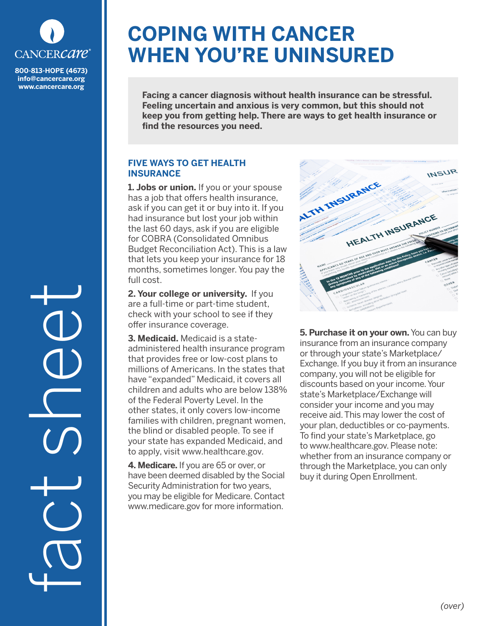

**800-813-HOPE (4673) info@cancercare.org www.cancercare.org**

fact se

# **COPING WITH CANCER WHEN YOU'RE UNINSURED**

**Facing a cancer diagnosis without health insurance can be stressful. Feeling uncertain and anxious is very common, but this should not keep you from getting help. There are ways to get health insurance or find the resources you need.**

#### **FIVE WAYS TO GET HEALTH INSURANCE**

**1. Jobs or union.** If you or your spouse has a job that offers health insurance, ask if you can get it or buy into it. If you had insurance but lost your job within the last 60 days, ask if you are eligible for COBRA (Consolidated Omnibus Budget Reconciliation Act). This is a law that lets you keep your insurance for 18 months, sometimes longer. You pay the full cost.

**2. Your college or university.** If you are a full-time or part-time student, check with your school to see if they offer insurance coverage.

**3. Medicaid.** Medicaid is a stateadministered health insurance program that provides free or low-cost plans to millions of Americans. In the states that have "expanded" Medicaid, it covers all children and adults who are below 138% of the Federal Poverty Level. In the other states, it only covers low-income families with children, pregnant women, the blind or disabled people. To see if your state has expanded Medicaid, and to apply, visit www.healthcare.gov.

**4. Medicare.** If you are 65 or over, or have been deemed disabled by the Social Security Administration for two years, you may be eligible for Medicare. Contact www.medicare.gov for more information.



**5. Purchase it on your own.** You can buy insurance from an insurance company or through your state's Marketplace/ Exchange. If you buy it from an insurance company, you will not be eligible for discounts based on your income. Your state's Marketplace/Exchange will consider your income and you may receive aid. This may lower the cost of your plan, deductibles or co-payments. To find your state's Marketplace, go to www.healthcare.gov. Please note: whether from an insurance company or through the Marketplace, you can only buy it during Open Enrollment.